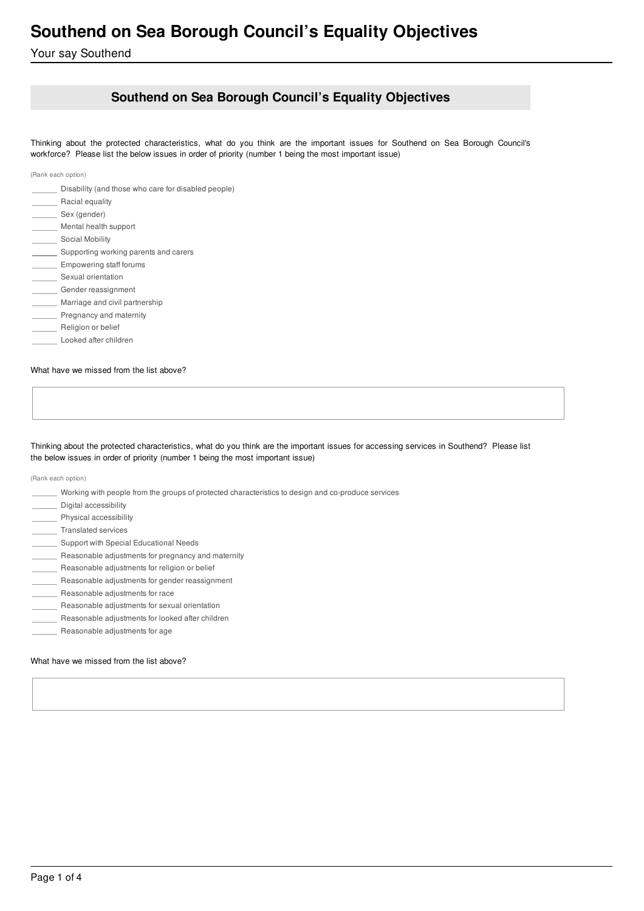Your say Southend

# **Southend on Sea Borough Council's Equality Objectives**

Thinking about the protected characteristics, what do you think are the important issues for Southend on Sea Borough Council's workforce? Please list the below issues in order of priority (number 1 being the most important issue)

(Rank each option)

| Disability (and those who care for disabled people) |
|-----------------------------------------------------|
| Racial equality                                     |
| Sex (gender)                                        |
| Mental health support                               |
| Social Mobility                                     |
| Supporting working parents and carers               |
| Empowering staff forums                             |
| Sexual orientation                                  |
| Gender reassignment                                 |
| Marriage and civil partnership                      |
| Pregnancy and maternity                             |
| Religion or belief                                  |
| Looked after children                               |

What have we missed from the list above?

Thinking about the protected characteristics, what do you think are the important issues for accessing services in Southend? Please list the below issues in order of priority (number 1 being the most important issue)

(Rank each option)

Working with people from the groups of protected characteristics to design and co-produce services Digital accessibility Physical accessibility Translated services \_ Support with Special Educational Needs Reasonable adjustments for pregnancy and maternity Reasonable adjustments for religion or belief Reasonable adjustments for gender reassignment Reasonable adjustments for race Reasonable adjustments for sexual orientation Reasonable adjustments for looked after children Reasonable adjustments for age

### What have we missed from the list above?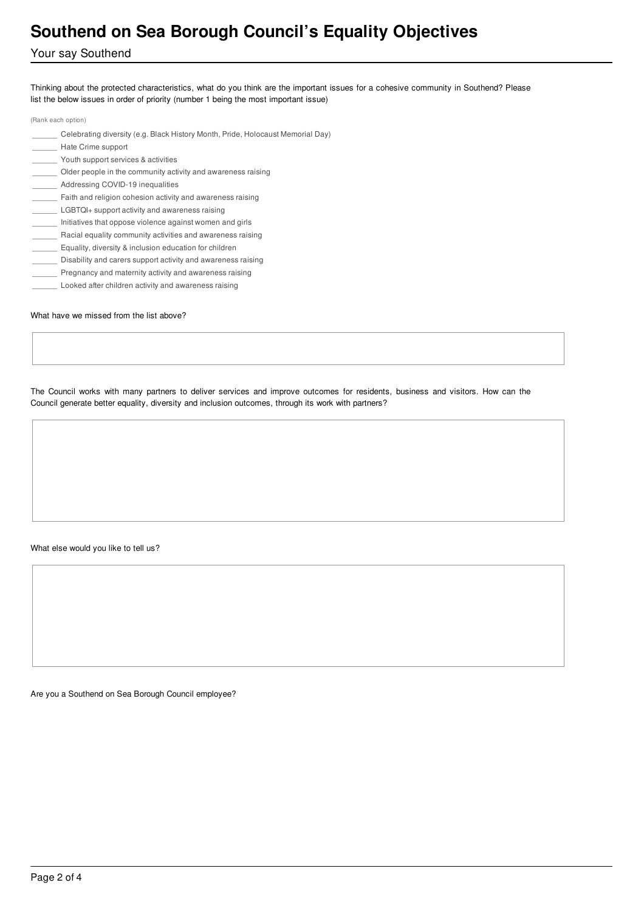## Your say Southend

Thinking about the protected characteristics, what do you think are the important issues for a cohesive community in Southend? Please list the below issues in order of priority (number 1 being the most important issue)

(Rank each option)

| Celebrating diversity (e.g. Black History Month, Pride, Holocaust Memorial Day) |
|---------------------------------------------------------------------------------|
| Hate Crime support                                                              |
| Youth support services & activities                                             |
| Older people in the community activity and awareness raising                    |
| Addressing COVID-19 inequalities                                                |
| Faith and religion cohesion activity and awareness raising                      |
| LGBTQI+ support activity and awareness raising                                  |
| Initiatives that oppose violence against women and girls                        |
| Racial equality community activities and awareness raising                      |
| Equality, diversity & inclusion education for children                          |
| Disability and carers support activity and awareness raising                    |
| Pregnancy and maternity activity and awareness raising                          |
| Looked after children activity and awareness raising                            |

#### What have we missed from the list above?

The Council works with many partners to deliver services and improve outcomes for residents, business and visitors. How can the Council generate better equality, diversity and inclusion outcomes, through its work with partners?

What else would you like to tell us?

Are you a Southend on Sea Borough Council employee?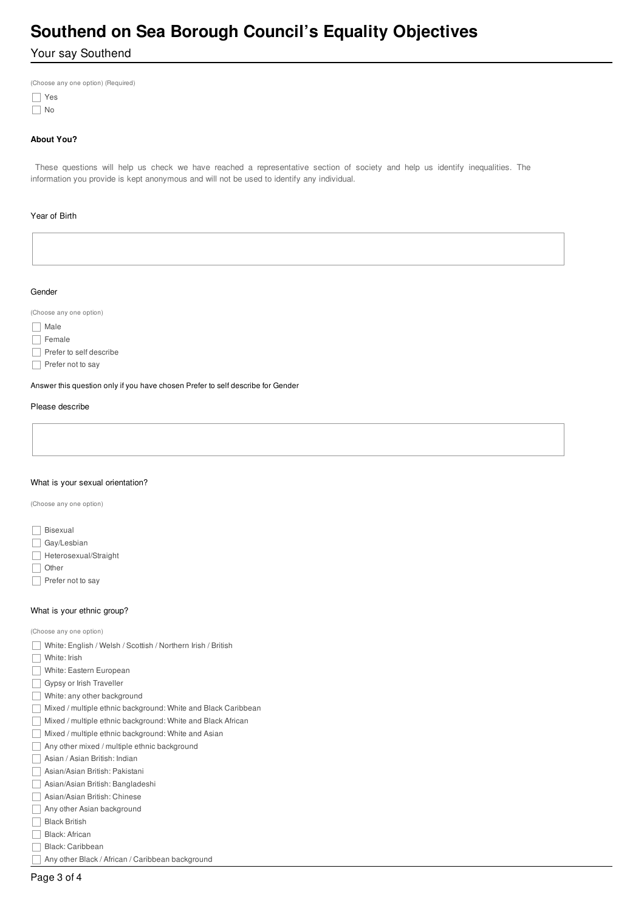Your say Southend

(Choose any one option) (Required)

Yes  $\Box$  No

## **About You?**

These questions will help us check we have reached a representative section of society and help us identify inequalities. The information you provide is kept anonymous and will not be used to identify any individual.

### Year of Birth

#### **Gender**

(Choose any one option)

- $\Box$  Male
- $\Box$  Female
- $\Box$  Prefer to self describe
- $\Box$  Prefer not to say

Answer this question only if you have chosen Prefer to self describe for Gender

### Please describe

#### What is your sexual orientation?

(Choose any one option)

- Bisexual
- Gay/Lesbian
- Heterosexual/Straight
- □ Other
- Prefer not to say

#### What is your ethnic group?

(Choose any one option)

- White: English / Welsh / Scottish / Northern Irish / British
- White: Irish
- White: Eastern European
- Gypsy or Irish Traveller
- White: any other background
- Mixed / multiple ethnic background: White and Black Caribbean
- Mixed / multiple ethnic background: White and Black African
- Mixed / multiple ethnic background: White and Asian
- Any other mixed / multiple ethnic background
- Asian / Asian British: Indian
- Asian/Asian British: Pakistani
- Asian/Asian British: Bangladeshi
- Asian/Asian British: Chinese
- Any other Asian background
- $\Box$  Black British
- Black: African
- Black: Caribbean
- Any other Black / African / Caribbean background